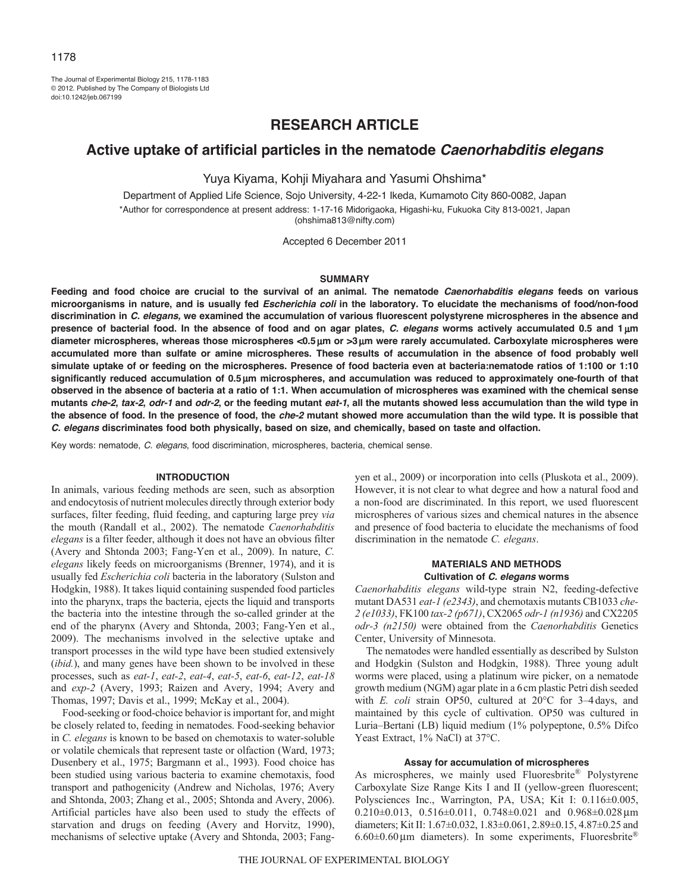The Journal of Experimental Biology 215, 1178-1183 © 2012. Published by The Company of Biologists Ltd doi:10.1242/jeb.067199

# **RESEARCH ARTICLE**

# **Active uptake of artificial particles in the nematode** *Caenorhabditis elegans*

Yuya Kiyama, Kohji Miyahara and Yasumi Ohshima\*

Department of Applied Life Science, Sojo University, 4-22-1 Ikeda, Kumamoto City 860-0082, Japan \*Author for correspondence at present address: 1-17-16 Midorigaoka, Higashi-ku, Fukuoka City 813-0021, Japan (ohshima813@nifty.com)

Accepted 6 December 2011

## **SUMMARY**

**Feeding and food choice are crucial to the survival of an animal. The nematode** *Caenorhabditis elegans* **feeds on various microorganisms in nature, and is usually fed** *Escherichia coli* **in the laboratory. To elucidate the mechanisms of food/non-food discrimination in** *C. elegans,* **we examined the accumulation of various fluorescent polystyrene microspheres in the absence and presence of bacterial food. In the absence of food and on agar plates,** *C. elegans* **worms actively accumulated 0.5 and 1 m diameter microspheres, whereas those microspheres <0.5 m or >3m were rarely accumulated. Carboxylate microspheres were accumulated more than sulfate or amine microspheres. These results of accumulation in the absence of food probably well simulate uptake of or feeding on the microspheres. Presence of food bacteria even at bacteria:nematode ratios of 1:100 or 1:10 significantly reduced accumulation of 0.5 m microspheres, and accumulation was reduced to approximately one-fourth of that observed in the absence of bacteria at a ratio of 1:1. When accumulation of microspheres was examined with the chemical sense mutants** *che-2***,** *tax-2***,** *odr-1* **and** *odr-2***, or the feeding mutant** *eat-1***, all the mutants showed less accumulation than the wild type in the absence of food. In the presence of food, the** *che-2* **mutant showed more accumulation than the wild type. It is possible that** *C. elegans* **discriminates food both physically, based on size, and chemically, based on taste and olfaction.**

Key words: nematode, *C. elegans*, food discrimination, microspheres, bacteria, chemical sense.

## **INTRODUCTION**

In animals, various feeding methods are seen, such as absorption and endocytosis of nutrient molecules directly through exterior body surfaces, filter feeding, fluid feeding, and capturing large prey *via* the mouth (Randall et al., 2002). The nematode *Caenorhabditis elegans* is a filter feeder, although it does not have an obvious filter (Avery and Shtonda 2003; Fang-Yen et al., 2009). In nature, *C. elegans* likely feeds on microorganisms (Brenner, 1974), and it is usually fed *Escherichia coli* bacteria in the laboratory (Sulston and Hodgkin, 1988). It takes liquid containing suspended food particles into the pharynx, traps the bacteria, ejects the liquid and transports the bacteria into the intestine through the so-called grinder at the end of the pharynx (Avery and Shtonda, 2003; Fang-Yen et al., 2009). The mechanisms involved in the selective uptake and transport processes in the wild type have been studied extensively (*ibid.*), and many genes have been shown to be involved in these processes, such as *eat-1*, *eat-2*, *eat-4*, *eat-5*, *eat-6*, *eat-12*, *eat-18* and *exp-2* (Avery, 1993; Raizen and Avery, 1994; Avery and Thomas, 1997; Davis et al., 1999; McKay et al., 2004).

Food-seeking or food-choice behavior is important for, and might be closely related to, feeding in nematodes. Food-seeking behavior in *C. elegans* is known to be based on chemotaxis to water-soluble or volatile chemicals that represent taste or olfaction (Ward, 1973; Dusenbery et al., 1975; Bargmann et al., 1993). Food choice has been studied using various bacteria to examine chemotaxis, food transport and pathogenicity (Andrew and Nicholas, 1976; Avery and Shtonda, 2003; Zhang et al., 2005; Shtonda and Avery, 2006). Artificial particles have also been used to study the effects of starvation and drugs on feeding (Avery and Horvitz, 1990), mechanisms of selective uptake (Avery and Shtonda, 2003; Fangyen et al., 2009) or incorporation into cells (Pluskota et al., 2009). However, it is not clear to what degree and how a natural food and a non-food are discriminated. In this report, we used fluorescent microspheres of various sizes and chemical natures in the absence and presence of food bacteria to elucidate the mechanisms of food discrimination in the nematode *C. elegans*.

## **MATERIALS AND METHODS Cultivation of** *C. elegans* **worms**

*Caenorhabditis elegans* wild-type strain N2, feeding-defective mutant DA531 *eat-1 (e2343)*, and chemotaxis mutants CB1033 *che-2 (e1033)*, FK100 *tax-2 (p671)*, CX2065 *odr-1 (n1936)* and CX2205 *odr-3 (n2150)* were obtained from the *Caenorhabditis* Genetics Center, University of Minnesota.

The nematodes were handled essentially as described by Sulston and Hodgkin (Sulston and Hodgkin, 1988). Three young adult worms were placed, using a platinum wire picker, on a nematode growth medium (NGM) agar plate in a 6cm plastic Petri dish seeded with *E. coli* strain OP50, cultured at 20°C for 3–4days, and maintained by this cycle of cultivation. OP50 was cultured in Luria–Bertani (LB) liquid medium (1% polypeptone, 0.5% Difco Yeast Extract, 1% NaCl) at 37°C.

#### **Assay for accumulation of microspheres**

As microspheres, we mainly used Fluoresbrite® Polystyrene Carboxylate Size Range Kits I and II (yellow-green fluorescent; Polysciences Inc., Warrington, PA, USA; Kit I: 0.116±0.005, 0.210 $\pm$ 0.013, 0.516 $\pm$ 0.011, 0.748 $\pm$ 0.021 and 0.968 $\pm$ 0.028 $\mu$ m diameters; Kit II: 1.67±0.032, 1.83±0.061, 2.89±0.15, 4.87±0.25 and  $6.60\pm0.60\,\mu\text{m}$  diameters). In some experiments, Fluoresbrite®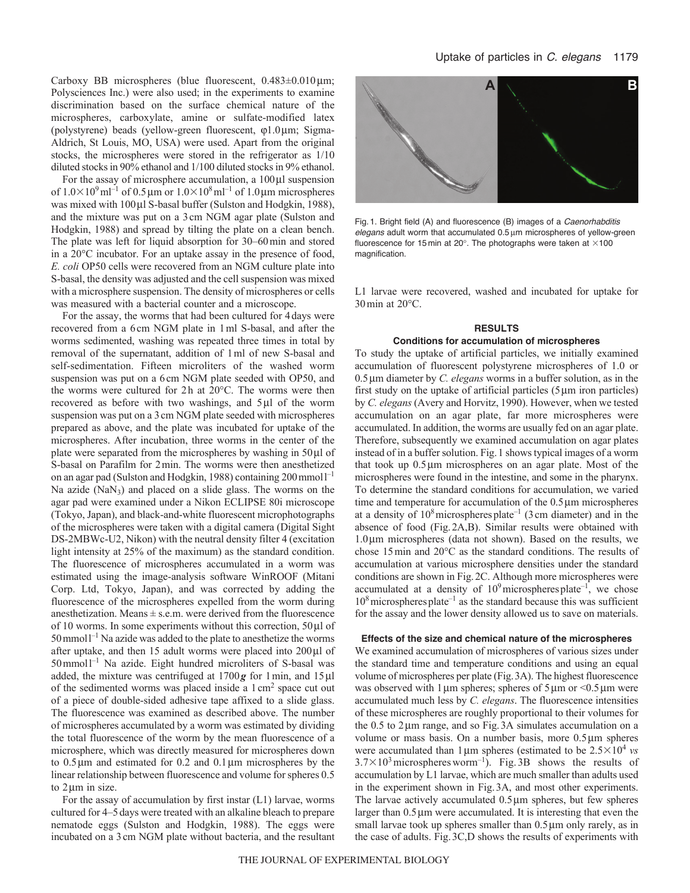Carboxy BB microspheres (blue fluorescent,  $0.483\pm0.010$  µm; Polysciences Inc.) were also used; in the experiments to examine discrimination based on the surface chemical nature of the microspheres, carboxylate, amine or sulfate-modified latex (polystyrene) beads (yellow-green fluorescent,  $\varphi$ 1.0 $\mu$ m; Sigma-Aldrich, St Louis, MO, USA) were used. Apart from the original stocks, the microspheres were stored in the refrigerator as 1/10 diluted stocks in 90% ethanol and 1/100 diluted stocks in 9% ethanol.

For the assay of microsphere accumulation, a  $100 \mu l$  suspension of  $1.0 \times 10^9$  ml<sup>-1</sup> of 0.5 µm or  $1.0 \times 10^8$  ml<sup>-1</sup> of 1.0 µm microspheres was mixed with 100 µl S-basal buffer (Sulston and Hodgkin, 1988), and the mixture was put on a 3cm NGM agar plate (Sulston and Hodgkin, 1988) and spread by tilting the plate on a clean bench. The plate was left for liquid absorption for 30–60min and stored in a 20°C incubator. For an uptake assay in the presence of food, *E. coli* OP50 cells were recovered from an NGM culture plate into S-basal, the density was adjusted and the cell suspension was mixed with a microsphere suspension. The density of microspheres or cells was measured with a bacterial counter and a microscope.

For the assay, the worms that had been cultured for 4days were recovered from a 6cm NGM plate in 1ml S-basal, and after the worms sedimented, washing was repeated three times in total by removal of the supernatant, addition of 1ml of new S-basal and self-sedimentation. Fifteen microliters of the washed worm suspension was put on a 6cm NGM plate seeded with OP50, and the worms were cultured for 2h at 20°C. The worms were then recovered as before with two washings, and  $5\mu$ l of the worm suspension was put on a 3cm NGM plate seeded with microspheres prepared as above, and the plate was incubated for uptake of the microspheres. After incubation, three worms in the center of the plate were separated from the microspheres by washing in  $50 \mu l$  of S-basal on Parafilm for 2min. The worms were then anesthetized on an agar pad (Sulston and Hodgkin, 1988) containing 200 mmol l<sup>-1</sup> Na azide (NaN<sub>3</sub>) and placed on a slide glass. The worms on the agar pad were examined under a Nikon ECLIPSE 80i microscope (Tokyo, Japan), and black-and-white fluorescent microphotographs of the microspheres were taken with a digital camera (Digital Sight DS-2MBWc-U2, Nikon) with the neutral density filter 4 (excitation light intensity at 25% of the maximum) as the standard condition. The fluorescence of microspheres accumulated in a worm was estimated using the image-analysis software WinROOF (Mitani Corp. Ltd, Tokyo, Japan), and was corrected by adding the fluorescence of the microspheres expelled from the worm during anesthetization. Means  $\pm$  s.e.m. were derived from the fluorescence of 10 worms. In some experiments without this correction,  $50 \mu l$  of  $50$  mmol<sup>1-1</sup> Na azide was added to the plate to anesthetize the worms after uptake, and then 15 adult worms were placed into  $200 \mu$ l of 50mmoll –1 Na azide. Eight hundred microliters of S-basal was added, the mixture was centrifuged at  $1700g$  for 1min, and  $15 \mu$ l of the sedimented worms was placed inside a 1cm2 space cut out of a piece of double-sided adhesive tape affixed to a slide glass. The fluorescence was examined as described above. The number of microspheres accumulated by a worm was estimated by dividing the total fluorescence of the worm by the mean fluorescence of a microsphere, which was directly measured for microspheres down to  $0.5 \mu$ m and estimated for  $0.2$  and  $0.1 \mu$ m microspheres by the linear relationship between fluorescence and volume for spheres 0.5 to 2 µm in size.

For the assay of accumulation by first instar (L1) larvae, worms cultured for 4–5days were treated with an alkaline bleach to prepare nematode eggs (Sulston and Hodgkin, 1988). The eggs were incubated on a 3cm NGM plate without bacteria, and the resultant



Fig. 1. Bright field (A) and fluorescence (B) images of a *Caenorhabditis elegans* adult worm that accumulated 0.5 um microspheres of yellow-green fluorescence for 15 min at 20°. The photographs were taken at  $\times$ 100 magnification.

L1 larvae were recovered, washed and incubated for uptake for 30min at 20°C.

# **RESULTS**

## **Conditions for accumulation of microspheres**

To study the uptake of artificial particles, we initially examined accumulation of fluorescent polystyrene microspheres of 1.0 or  $0.5 \mu$ m diameter by *C. elegans* worms in a buffer solution, as in the first study on the uptake of artificial particles  $(5 \mu m)$  iron particles) by *C. elegans* (Avery and Horvitz, 1990). However, when we tested accumulation on an agar plate, far more microspheres were accumulated. In addition, the worms are usually fed on an agar plate. Therefore, subsequently we examined accumulation on agar plates instead of in a buffer solution. Fig.1 shows typical images of a worm that took up  $0.5 \mu m$  microspheres on an agar plate. Most of the microspheres were found in the intestine, and some in the pharynx. To determine the standard conditions for accumulation, we varied time and temperature for accumulation of the  $0.5 \mu m$  microspheres at a density of  $10^8$  microspheres plate<sup>-1</sup> (3 cm diameter) and in the absence of food (Fig.2A,B). Similar results were obtained with  $1.0 \mu m$  microspheres (data not shown). Based on the results, we chose 15min and 20°C as the standard conditions. The results of accumulation at various microsphere densities under the standard conditions are shown in Fig.2C. Although more microspheres were accumulated at a density of  $10^9$  microspheres plate<sup>-1</sup>, we chose  $10<sup>8</sup>$  microspheres plate<sup>-1</sup> as the standard because this was sufficient for the assay and the lower density allowed us to save on materials.

#### **Effects of the size and chemical nature of the microspheres**

We examined accumulation of microspheres of various sizes under the standard time and temperature conditions and using an equal volume of microspheres per plate (Fig.3A). The highest fluorescence was observed with 1  $\mu$ m spheres; spheres of 5  $\mu$ m or <0.5  $\mu$ m were accumulated much less by *C. elegans*. The fluorescence intensities of these microspheres are roughly proportional to their volumes for the  $0.5$  to  $2 \mu m$  range, and so Fig. 3A simulates accumulation on a volume or mass basis. On a number basis, more  $0.5 \mu m$  spheres were accumulated than  $1 \mu m$  spheres (estimated to be  $2.5 \times 10^4$  *vs*  $3.7 \times 10^3$  microspheres worm<sup>-1</sup>). Fig. 3B shows the results of accumulation by L1 larvae, which are much smaller than adults used in the experiment shown in Fig.3A, and most other experiments. The larvae actively accumulated  $0.5 \mu m$  spheres, but few spheres larger than  $0.5 \mu m$  were accumulated. It is interesting that even the small larvae took up spheres smaller than  $0.5 \mu m$  only rarely, as in the case of adults. Fig.3C,D shows the results of experiments with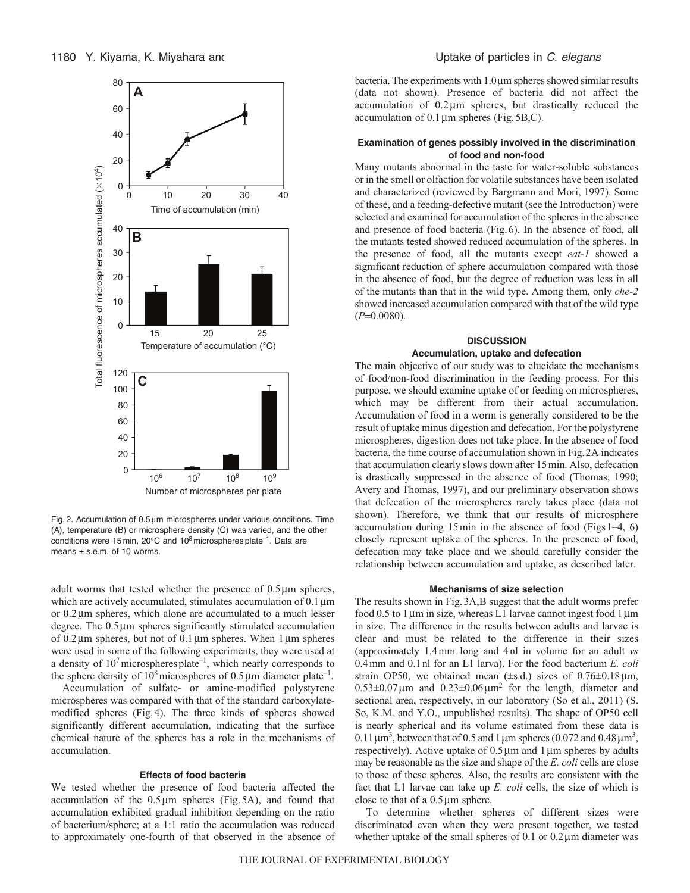

Fig. 2. Accumulation of  $0.5 \mu m$  microspheres under various conditions. Time (A), temperature (B) or microsphere density (C) was varied, and the other conditions were 15 min, 20 $^{\circ}$ C and 10<sup>8</sup> microspheres plate<sup>-1</sup>. Data are means ± s.e.m. of 10 worms.

adult worms that tested whether the presence of  $0.5 \mu m$  spheres, which are actively accumulated, stimulates accumulation of  $0.1 \,\text{\ensuremath{\mu}m}$ or  $0.2 \mu$ m spheres, which alone are accumulated to a much lesser degree. The 0.5 µm spheres significantly stimulated accumulation of  $0.2 \mu$ m spheres, but not of  $0.1 \mu$ m spheres. When  $1 \mu$ m spheres were used in some of the following experiments, they were used at a density of  $10<sup>7</sup>$  microspheres plate<sup>-1</sup>, which nearly corresponds to the sphere density of  $10^8$  microspheres of 0.5  $\mu$ m diameter plate<sup>-1</sup>.

Accumulation of sulfate- or amine-modified polystyrene microspheres was compared with that of the standard carboxylatemodified spheres (Fig.4). The three kinds of spheres showed significantly different accumulation, indicating that the surface chemical nature of the spheres has a role in the mechanisms of accumulation.

## **Effects of food bacteria**

We tested whether the presence of food bacteria affected the accumulation of the  $0.5 \mu m$  spheres (Fig.5A), and found that accumulation exhibited gradual inhibition depending on the ratio of bacterium/sphere; at a 1:1 ratio the accumulation was reduced to approximately one-fourth of that observed in the absence of bacteria. The experiments with 1.0um spheres showed similar results (data not shown). Presence of bacteria did not affect the accumulation of  $0.2 \mu m$  spheres, but drastically reduced the accumulation of  $0.1 \,\mu m$  spheres (Fig. 5B,C).

## **Examination of genes possibly involved in the discrimination of food and non-food**

Many mutants abnormal in the taste for water-soluble substances or in the smell or olfaction for volatile substances have been isolated and characterized (reviewed by Bargmann and Mori, 1997). Some of these, and a feeding-defective mutant (see the Introduction) were selected and examined for accumulation of the spheres in the absence and presence of food bacteria (Fig.6). In the absence of food, all the mutants tested showed reduced accumulation of the spheres. In the presence of food, all the mutants except *eat-1* showed a significant reduction of sphere accumulation compared with those in the absence of food, but the degree of reduction was less in all of the mutants than that in the wild type. Among them, only *che-2* showed increased accumulation compared with that of the wild type  $(P=0.0080)$ .

## **DISCUSSION**

#### **Accumulation, uptake and defecation**

The main objective of our study was to elucidate the mechanisms of food/non-food discrimination in the feeding process. For this purpose, we should examine uptake of or feeding on microspheres, which may be different from their actual accumulation. Accumulation of food in a worm is generally considered to be the result of uptake minus digestion and defecation. For the polystyrene microspheres, digestion does not take place. In the absence of food bacteria, the time course of accumulation shown in Fig.2A indicates that accumulation clearly slows down after 15min. Also, defecation is drastically suppressed in the absence of food (Thomas, 1990; Avery and Thomas, 1997), and our preliminary observation shows that defecation of the microspheres rarely takes place (data not shown). Therefore, we think that our results of microsphere accumulation during  $15 \text{min}$  in the absence of food (Figs 1–4, 6) closely represent uptake of the spheres. In the presence of food, defecation may take place and we should carefully consider the relationship between accumulation and uptake, as described later.

#### **Mechanisms of size selection**

The results shown in Fig.3A,B suggest that the adult worms prefer food 0.5 to 1  $\mu$ m in size, whereas L1 larvae cannot ingest food 1  $\mu$ m in size. The difference in the results between adults and larvae is clear and must be related to the difference in their sizes (approximately 1.4mm long and 4nl in volume for an adult *vs* 0.4mm and 0.1nl for an L1 larva). For the food bacterium *E. coli* strain OP50, we obtained mean  $(\pm s.d.)$  sizes of  $0.76\pm0.18 \,\mu m$ ,  $0.53\pm0.07\,\mu\text{m}$  and  $0.23\pm0.06\,\mu\text{m}^2$  for the length, diameter and sectional area, respectively, in our laboratory (So et al., 2011) (S. So, K.M. and Y.O., unpublished results). The shape of OP50 cell is nearly spherical and its volume estimated from these data is  $0.11 \,\mathrm{\mu m}^3$ , between that of 0.5 and 1  $\mathrm{\mu m}$  spheres (0.072 and 0.48  $\mathrm{\mu m}^3$ , respectively). Active uptake of  $0.5 \mu m$  and 1 $\mu m$  spheres by adults may be reasonable as the size and shape of the *E. coli* cells are close to those of these spheres. Also, the results are consistent with the fact that L1 larvae can take up *E. coli* cells, the size of which is close to that of a  $0.5 \mu m$  sphere.

To determine whether spheres of different sizes were discriminated even when they were present together, we tested whether uptake of the small spheres of  $0.1$  or  $0.2 \mu m$  diameter was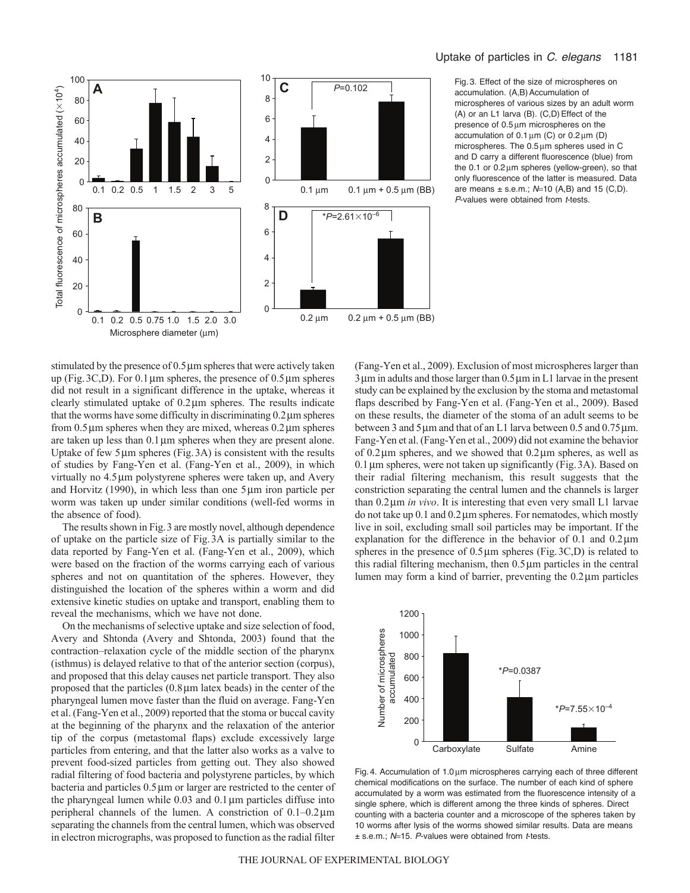



Fig. 3. Effect of the size of microspheres on accumulation. (A,B) Accumulation of microspheres of various sizes by an adult worm (A) or an L1 larva (B). (C,D) Effect of the presence of  $0.5 \mu m$  microspheres on the accumulation of  $0.1 \,\mu m$  (C) or  $0.2 \,\mu m$  (D) microspheres. The  $0.5 \mu m$  spheres used in C and D carry a different fluorescence (blue) from the 0.1 or  $0.2 \mu m$  spheres (yellow-green), so that only fluorescence of the latter is measured. Data are means  $\pm$  s.e.m.;  $N=10$  (A,B) and 15 (C,D). *P*-values were obtained from *t*-tests.

stimulated by the presence of  $0.5 \mu m$  spheres that were actively taken up (Fig. 3C,D). For 0.1  $\mu$ m spheres, the presence of 0.5  $\mu$ m spheres did not result in a significant difference in the uptake, whereas it clearly stimulated uptake of  $0.2 \mu m$  spheres. The results indicate that the worms have some difficulty in discriminating  $0.2 \mu$ m spheres from  $0.5 \mu$ m spheres when they are mixed, whereas  $0.2 \mu$ m spheres are taken up less than  $0.1 \mu m$  spheres when they are present alone. Uptake of few  $5 \mu m$  spheres (Fig. 3A) is consistent with the results of studies by Fang-Yen et al. (Fang-Yen et al., 2009), in which virtually no 4.5 µm polystyrene spheres were taken up, and Avery and Horvitz  $(1990)$ , in which less than one  $5 \mu m$  iron particle per worm was taken up under similar conditions (well-fed worms in the absence of food).

The results shown in Fig.3 are mostly novel, although dependence of uptake on the particle size of Fig.3A is partially similar to the data reported by Fang-Yen et al. (Fang-Yen et al., 2009), which were based on the fraction of the worms carrying each of various spheres and not on quantitation of the spheres. However, they distinguished the location of the spheres within a worm and did extensive kinetic studies on uptake and transport, enabling them to reveal the mechanisms, which we have not done.

On the mechanisms of selective uptake and size selection of food, Avery and Shtonda (Avery and Shtonda, 2003) found that the contraction–relaxation cycle of the middle section of the pharynx (isthmus) is delayed relative to that of the anterior section (corpus), and proposed that this delay causes net particle transport. They also proposed that the particles  $(0.8 \mu m)$  latex beads) in the center of the pharyngeal lumen move faster than the fluid on average. Fang-Yen et al. (Fang-Yen et al., 2009) reported that the stoma or buccal cavity at the beginning of the pharynx and the relaxation of the anterior tip of the corpus (metastomal flaps) exclude excessively large particles from entering, and that the latter also works as a valve to prevent food-sized particles from getting out. They also showed radial filtering of food bacteria and polystyrene particles, by which bacteria and particles  $0.5 \mu m$  or larger are restricted to the center of the pharyngeal lumen while  $0.03$  and  $0.1 \mu$ m particles diffuse into peripheral channels of the lumen. A constriction of  $0.1-0.2 \,\mu m$ separating the channels from the central lumen, which was observed in electron micrographs, was proposed to function as the radial filter

(Fang-Yen et al., 2009). Exclusion of most microspheres larger than  $3 \mu m$  in adults and those larger than  $0.5 \mu m$  in L1 larvae in the present study can be explained by the exclusion by the stoma and metastomal flaps described by Fang-Yen et al. (Fang-Yen et al., 2009). Based on these results, the diameter of the stoma of an adult seems to be between 3 and 5  $\mu$ m and that of an L1 larva between 0.5 and 0.75  $\mu$ m. Fang-Yen et al. (Fang-Yen et al., 2009) did not examine the behavior of  $0.2 \mu$ m spheres, and we showed that  $0.2 \mu$ m spheres, as well as  $0.1 \,\mu$ m spheres, were not taken up significantly (Fig. 3A). Based on their radial filtering mechanism, this result suggests that the constriction separating the central lumen and the channels is larger than 0.2μm *in vivo*. It is interesting that even very small L1 larvae do not take up  $0.1$  and  $0.2 \mu m$  spheres. For nematodes, which mostly live in soil, excluding small soil particles may be important. If the explanation for the difference in the behavior of  $0.1$  and  $0.2 \mu m$ spheres in the presence of  $0.5 \mu m$  spheres (Fig. 3C,D) is related to this radial filtering mechanism, then  $0.5 \mu m$  particles in the central lumen may form a kind of barrier, preventing the  $0.2 \mu m$  particles



Fig. 4. Accumulation of 1.0 um microspheres carrying each of three different chemical modifications on the surface. The number of each kind of sphere accumulated by a worm was estimated from the fluorescence intensity of a single sphere, which is different among the three kinds of spheres. Direct counting with a bacteria counter and a microscope of the spheres taken by 10 worms after lysis of the worms showed similar results. Data are means ± s.e.m.; *N*15. *P*-values were obtained from *t*-tests.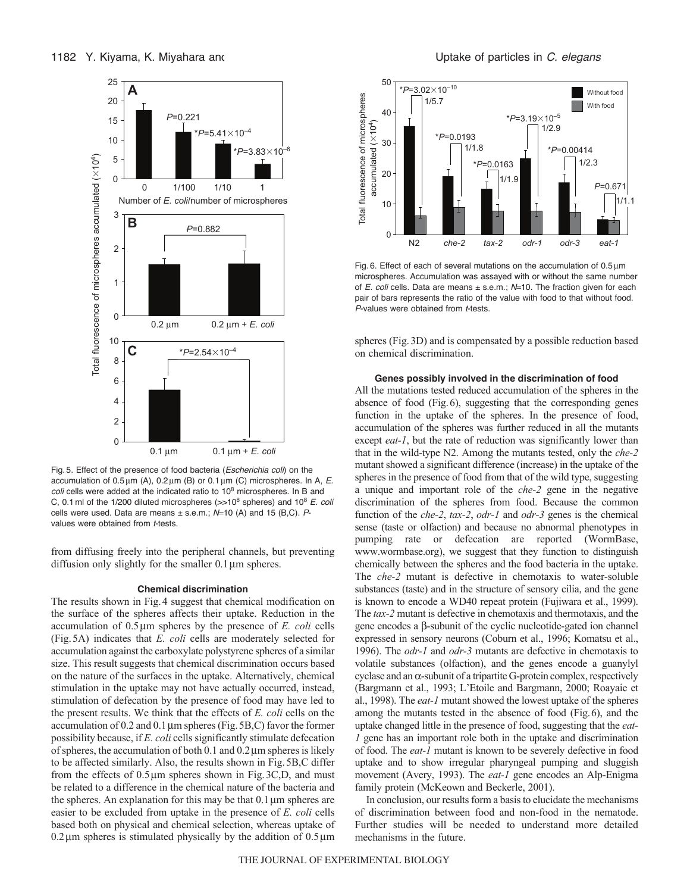

Fig. 5. Effect of the presence of food bacteria (*Escherichia coli*) on the accumulation of  $0.5 \mu m$  (A),  $0.2 \mu m$  (B) or  $0.1 \mu m$  (C) microspheres. In A, E. *coli* cells were added at the indicated ratio to 10<sup>8</sup> microspheres. In B and C, 0.1 ml of the 1/200 diluted microspheres ( $>10^8$  spheres) and 10<sup>8</sup> *E. coli* cells were used. Data are means ± s.e.m.;  $N=10$  (A) and 15 (B,C). Pvalues were obtained from *t*-tests.

from diffusing freely into the peripheral channels, but preventing diffusion only slightly for the smaller  $0.1 \,\mu m$  spheres.

### **Chemical discrimination**

The results shown in Fig.4 suggest that chemical modification on the surface of the spheres affects their uptake. Reduction in the accumulation of 0.5µm spheres by the presence of *E. coli* cells (Fig.5A) indicates that *E. coli* cells are moderately selected for accumulation against the carboxylate polystyrene spheres of a similar size. This result suggests that chemical discrimination occurs based on the nature of the surfaces in the uptake. Alternatively, chemical stimulation in the uptake may not have actually occurred, instead, stimulation of defecation by the presence of food may have led to the present results. We think that the effects of *E. coli* cells on the accumulation of  $0.2$  and  $0.1 \mu$ m spheres (Fig. 5B,C) favor the former possibility because, if *E. coli* cells significantly stimulate defecation of spheres, the accumulation of both 0.1 and  $0.2 \mu$ m spheres is likely to be affected similarly. Also, the results shown in Fig.5B,C differ from the effects of  $0.5 \mu m$  spheres shown in Fig. 3C,D, and must be related to a difference in the chemical nature of the bacteria and the spheres. An explanation for this may be that  $0.1 \mu m$  spheres are easier to be excluded from uptake in the presence of *E. coli* cells based both on physical and chemical selection, whereas uptake of  $0.2 \mu$ m spheres is stimulated physically by the addition of  $0.5 \mu$ m



Fig. 6. Effect of each of several mutations on the accumulation of 0.5 um microspheres. Accumulation was assayed with or without the same number of *E. coli* cells. Data are means  $\pm$  s.e.m.; *N*=10. The fraction given for each pair of bars represents the ratio of the value with food to that without food. *P*-values were obtained from *t*-tests.

spheres (Fig.3D) and is compensated by a possible reduction based on chemical discrimination.

## **Genes possibly involved in the discrimination of food**

All the mutations tested reduced accumulation of the spheres in the absence of food (Fig.6), suggesting that the corresponding genes function in the uptake of the spheres. In the presence of food, accumulation of the spheres was further reduced in all the mutants except *eat-1*, but the rate of reduction was significantly lower than that in the wild-type N2. Among the mutants tested, only the *che-2* mutant showed a significant difference (increase) in the uptake of the spheres in the presence of food from that of the wild type, suggesting a unique and important role of the *che-2* gene in the negative discrimination of the spheres from food. Because the common function of the *che-2*, *tax-2*, *odr-1* and *odr-3* genes is the chemical sense (taste or olfaction) and because no abnormal phenotypes in pumping rate or defecation are reported (WormBase, www.wormbase.org), we suggest that they function to distinguish chemically between the spheres and the food bacteria in the uptake. The *che-2* mutant is defective in chemotaxis to water-soluble substances (taste) and in the structure of sensory cilia, and the gene is known to encode a WD40 repeat protein (Fujiwara et al., 1999). The *tax-2* mutant is defective in chemotaxis and thermotaxis, and the gene encodes a  $\beta$ -subunit of the cyclic nucleotide-gated ion channel expressed in sensory neurons (Coburn et al., 1996; Komatsu et al., 1996). The *odr-1* and *odr-3* mutants are defective in chemotaxis to volatile substances (olfaction), and the genes encode a guanylyl cyclase and an  $\alpha$ -subunit of a tripartite G-protein complex, respectively (Bargmann et al., 1993; L'Etoile and Bargmann, 2000; Roayaie et al., 1998). The *eat-1* mutant showed the lowest uptake of the spheres among the mutants tested in the absence of food (Fig.6), and the uptake changed little in the presence of food, suggesting that the *eat-1* gene has an important role both in the uptake and discrimination of food. The *eat-1* mutant is known to be severely defective in food uptake and to show irregular pharyngeal pumping and sluggish movement (Avery, 1993). The *eat-1* gene encodes an Alp-Enigma family protein (McKeown and Beckerle, 2001).

In conclusion, our results form a basis to elucidate the mechanisms of discrimination between food and non-food in the nematode. Further studies will be needed to understand more detailed mechanisms in the future.